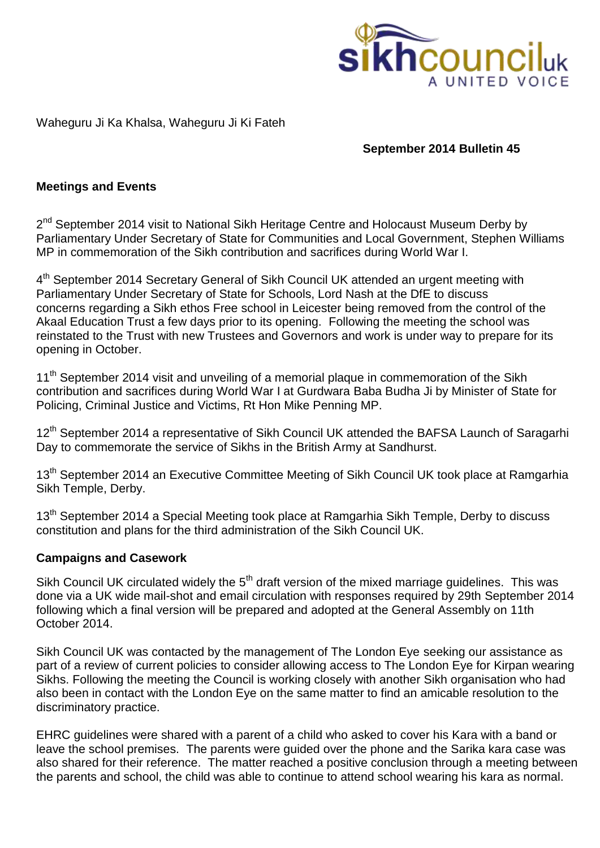

### Waheguru Ji Ka Khalsa, Waheguru Ji Ki Fateh

## **September 2014 Bulletin 45**

### **Meetings and Events**

2<sup>nd</sup> September 2014 visit to National Sikh Heritage Centre and Holocaust Museum Derby by Parliamentary Under Secretary of State for Communities and Local Government, Stephen Williams MP in commemoration of the Sikh contribution and sacrifices during World War I.

4<sup>th</sup> September 2014 Secretary General of Sikh Council UK attended an urgent meeting with Parliamentary Under Secretary of State for Schools, Lord Nash at the DfE to discuss concerns regarding a Sikh ethos Free school in Leicester being removed from the control of the Akaal Education Trust a few days prior to its opening. Following the meeting the school was reinstated to the Trust with new Trustees and Governors and work is under way to prepare for its opening in October.

11<sup>th</sup> September 2014 visit and unveiling of a memorial plaque in commemoration of the Sikh contribution and sacrifices during World War I at Gurdwara Baba Budha Ji by Minister of State for Policing, Criminal Justice and Victims, Rt Hon Mike Penning MP.

12<sup>th</sup> September 2014 a representative of Sikh Council UK attended the BAFSA Launch of Saragarhi Day to commemorate the service of Sikhs in the British Army at Sandhurst.

13<sup>th</sup> September 2014 an Executive Committee Meeting of Sikh Council UK took place at Ramgarhia Sikh Temple, Derby.

13<sup>th</sup> September 2014 a Special Meeting took place at Ramgarhia Sikh Temple, Derby to discuss constitution and plans for the third administration of the Sikh Council UK.

### **Campaigns and Casework**

Sikh Council UK circulated widely the 5<sup>th</sup> draft version of the mixed marriage guidelines. This was done via a UK wide mail-shot and email circulation with responses required by 29th September 2014 following which a final version will be prepared and adopted at the General Assembly on 11th October 2014.

Sikh Council UK was contacted by the management of The London Eye seeking our assistance as part of a review of current policies to consider allowing access to The London Eye for Kirpan wearing Sikhs. Following the meeting the Council is working closely with another Sikh organisation who had also been in contact with the London Eye on the same matter to find an amicable resolution to the discriminatory practice.

EHRC guidelines were shared with a parent of a child who asked to cover his Kara with a band or leave the school premises. The parents were guided over the phone and the Sarika kara case was also shared for their reference. The matter reached a positive conclusion through a meeting between the parents and school, the child was able to continue to attend school wearing his kara as normal.